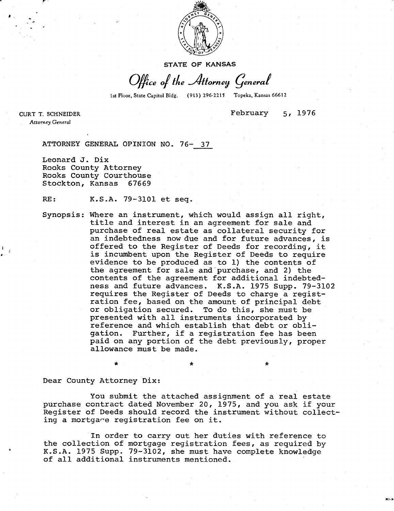

STATE OF KANSAS

Office of the Attorney General

1st Floor, State Capitol Bldg. (913) 296-2215 Topeka, Kansas 66612

CURT T. SCHNEIDER Attorney General

February 5, 1976

ATTORNEY GENERAL OPINION NO. 76- 37

Leonard J. Dix Rooks County Attorney Rooks County Courthouse Stockton, Kansas 67669

RE: K.S.A. 79-3101 et seq.

Synopsis: Where an instrument, which would assign all right, title and interest in an agreement for sale and purchase of real estate as collateral security for an indebtedness now due and for future advances, is offered to the Register of Deeds for recording, it is incumbent upon the Register of Deeds to require evidence to be produced as to 1) the contents of the agreement for sale and purchase, and 2) the contents of the agreement for additional indebtedness and future advances. K.S.A. 1975 Supp. 79-3102 requires the Register of Deeds to charge a registration fee, based on the amount of principal debt or obligation secured. To do this, she must be presented with all instruments incorporated by reference and which establish that debt or obligation. Further, if a registration fee has been paid on any portion of the debt previously, proper allowance must be made.

Dear County Attorney Dix:

You submit the attached assignment of a real estate purchase contract dated November 20, 1975, and you ask if your Register of Deeds should record the instrument without collecting a mortgage registration fee on it.

In order to carry out her duties with reference to the collection of mortgage registration fees, as required by K.S.A. 1975 Supp. 79-3102, she must have complete knowledge of all additional instruments mentioned.